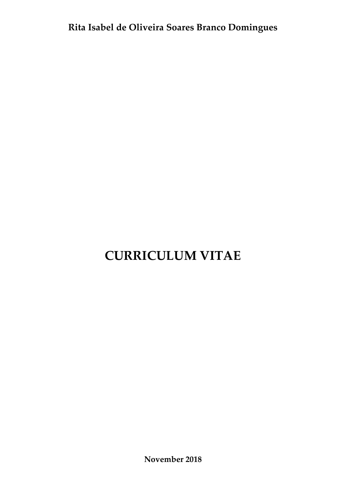# **CURRICULUM VITAE**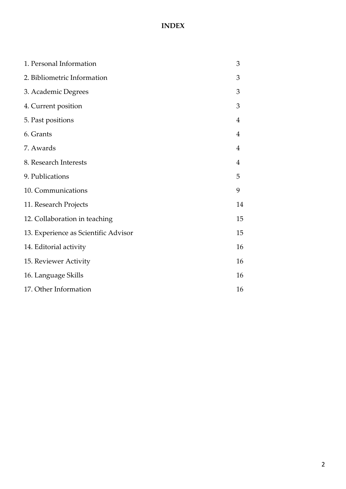## **INDEX**

| 1. Personal Information              | 3              |
|--------------------------------------|----------------|
| 2. Bibliometric Information          | 3              |
| 3. Academic Degrees                  | 3              |
| 4. Current position                  | 3              |
| 5. Past positions                    | $\overline{4}$ |
| 6. Grants                            | $\overline{4}$ |
| 7. Awards                            | 4              |
| 8. Research Interests                | $\overline{4}$ |
| 9. Publications                      | 5              |
| 10. Communications                   | 9              |
| 11. Research Projects                | 14             |
| 12. Collaboration in teaching        | 15             |
| 13. Experience as Scientific Advisor | 15             |
| 14. Editorial activity               | 16             |
| 15. Reviewer Activity                | 16             |
| 16. Language Skills                  | 16             |
| 17. Other Information                | 16             |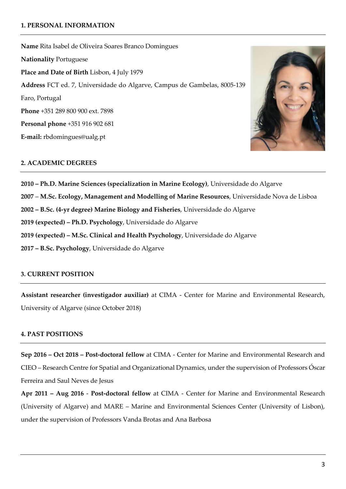## **1. PERSONAL INFORMATION**

**Name** Rita Isabel de Oliveira Soares Branco Domingues **Nationality** Portuguese **Place and Date of Birth** Lisbon, 4 July 1979 **Address** FCT ed. 7, Universidade do Algarve, Campus de Gambelas, 8005-139 Faro, Portugal **Phone** +351 289 800 900 ext. 7898 **Personal phone** +351 916 902 681 **E-mail:** [rbdomingues@ualg.pt](mailto:rbdomingues@ualg.pt)



## **2. ACADEMIC DEGREES**

**– Ph.D. Marine Sciences (specialization in Marine Ecology)**, Universidade do Algarve – **M.Sc. Ecology, Management and Modelling of Marine Resources**, Universidade Nova de Lisboa **– B.Sc. (4-yr degree) Marine Biology and Fisheries**, Universidade do Algarve **2019 (expected) – Ph.D. Psychology**, Universidade do Algarve **2019 (expected) – M.Sc. Clinical and Health Psychology**, Universidade do Algarve **– B.Sc. Psychology**, Universidade do Algarve

## **3. CURRENT POSITION**

**Assistant researcher (investigador auxiliar)** at CIMA - Center for Marine and Environmental Research, University of Algarve (since October 2018)

## **4. PAST POSITIONS**

**Sep 2016 – Oct 2018 – Post-doctoral fellow** at CIMA - Center for Marine and Environmental Research and CIEO – Research Centre for Spatial and Organizational Dynamics, under the supervision of Professors Óscar Ferreira and Saul Neves de Jesus

**Apr 2011 – Aug 2016** - **Post-doctoral fellow** at CIMA - Center for Marine and Environmental Research (University of Algarve) and MARE – Marine and Environmental Sciences Center (University of Lisbon), under the supervision of Professors Vanda Brotas and Ana Barbosa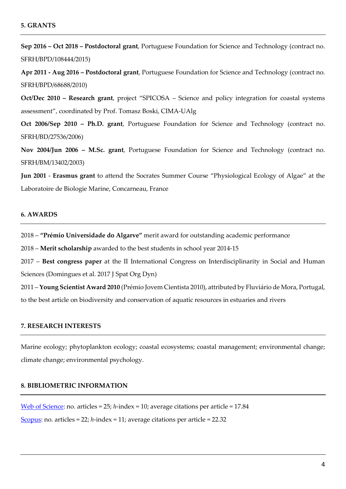**Sep 2016 – Oct 2018 – Postdoctoral grant**, Portuguese Foundation for Science and Technology (contract no. SFRH/BPD/108444/2015)

**Apr 2011 - Aug 2016 – Postdoctoral grant**, Portuguese Foundation for Science and Technology (contract no. SFRH/BPD/68688/2010)

**Oct/Dec 2010 – Research grant**, project "SPICOSA – Science and policy integration for coastal systems assessment", coordinated by Prof. Tomasz Boski, CIMA-UAlg

**Oct 2006/Sep 2010 – Ph.D. grant**, Portuguese Foundation for Science and Technology (contract no. SFRH/BD/27536/2006)

**Nov 2004/Jun 2006 – M.Sc. grant**, Portuguese Foundation for Science and Technology (contract no. SFRH/BM/13402/2003)

**Jun 2001** - **Erasmus grant** to attend the Socrates Summer Course "Physiological Ecology of Algae" at the Laboratoire de Biologie Marine, Concarneau, France

## **6. AWARDS**

2018 – **"Prémio Universidade do Algarve"** merit award for outstanding academic performance

2018 – **Merit scholarship** awarded to the best students in school year 2014-15

2017 – **Best congress paper** at the II International Congress on Interdisciplinarity in Social and Human Sciences (Domingues et al. 2017 J Spat Org Dyn)

2011 – **Young Scientist Award 2010** (Prémio Jovem Cientista 2010), attributed by Fluviário de Mora, Portugal, to the best article on biodiversity and conservation of aquatic resources in estuaries and rivers

#### **7. RESEARCH INTERESTS**

Marine ecology; phytoplankton ecology; coastal ecosystems; coastal management; environmental change; climate change; environmental psychology.

## **8. BIBLIOMETRIC INFORMATION**

[Web of Science:](http://apps.webofknowledge.com/CitationReport.do?product=WOS&search_mode=CitationReport&SID=C1fDJ8xKd1Df1u3RVDQ&page=1&cr_pqid=1&viewType=summary&colName=WOS) no. articles = 25; *h*-index = 10; average citations per article = 17.84 [Scopus:](https://www.scopus.com/authid/detail.uri?authorId=8627143500) no. articles = 22; *h*-index = 11; average citations per article = 22.32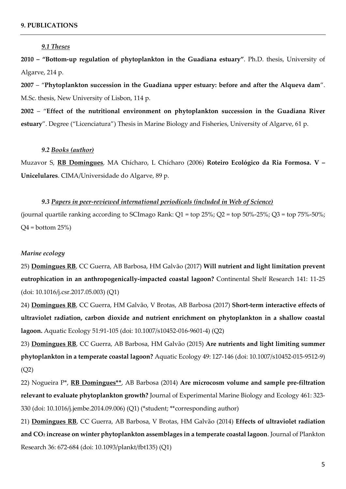#### *9.1 Theses*

**2010 – "Bottom-up regulation of phytoplankton in the Guadiana estuary"**. Ph.D. thesis, University of Algarve, 214 p.

**2007** – "**Phytoplankton succession in the Guadiana upper estuary: before and after the Alqueva dam**". M.Sc. thesis, New University of Lisbon, 114 p.

**2002** – "**Effect of the nutritional environment on phytoplankton succession in the Guadiana River estuary**". Degree ("Licenciatura") Thesis in Marine Biology and Fisheries, University of Algarve, 61 p.

## *9.2 Books (author)*

Muzavor S, **RB Domingues**, MA Chícharo, L Chícharo (2006) **Roteiro Ecológico da Ria Formosa. V – Unicelulares**. CIMA/Universidade do Algarve, 89 p.

#### *9.3 Papers in peer-reviewed international periodicals (included in Web of Science)*

(journal quartile ranking according to SCImago Rank:  $Q1 = top 25\%$ ;  $Q2 = top 50\% - 25\%$ ;  $Q3 = top 75\% - 50\%$ ;  $Q4 =$  bottom  $25\%)$ 

#### *Marine ecology*

25) **Domingues RB**, CC Guerra, AB Barbosa, HM Galvão (2017) **Will nutrient and light limitation prevent eutrophication in an anthropogenically-impacted coastal lagoon?** Continental Shelf Research 141: 11-25 (doi: 10.1016/j.csr.2017.05.003) (Q1)

24) **Domingues RB**, CC Guerra, HM Galvão, V Brotas, AB Barbosa (2017) **Short-term interactive effects of ultraviolet radiation, carbon dioxide and nutrient enrichment on phytoplankton in a shallow coastal lagoon.** Aquatic Ecology 51:91-105 (doi: 10.1007/s10452-016-9601-4) (Q2)

23) **Domingues RB**, CC Guerra, AB Barbosa, HM Galvão (2015) **Are nutrients and light limiting summer phytoplankton in a temperate coastal lagoon?** Aquatic Ecology 49: 127-146 (doi: 10.1007/s10452-015-9512-9) (Q2)

22) Nogueira P\*, **RB Domingues\*\***, AB Barbosa (2014) **Are microcosm volume and sample pre-filtration relevant to evaluate phytoplankton growth?** Journal of Experimental Marine Biology and Ecology 461: 323- 330 (doi: 10.1016/j.jembe.2014.09.006) (Q1) (\*student; \*\*corresponding author)

21) **Domingues RB**, CC Guerra, AB Barbosa, V Brotas, HM Galvão (2014) **Effects of ultraviolet radiation and CO<sup>2</sup> increase on winter phytoplankton assemblages in a temperate coastal lagoon**. Journal of Plankton Research 36: 672-684 (doi: 10.1093/plankt/fbt135) (Q1)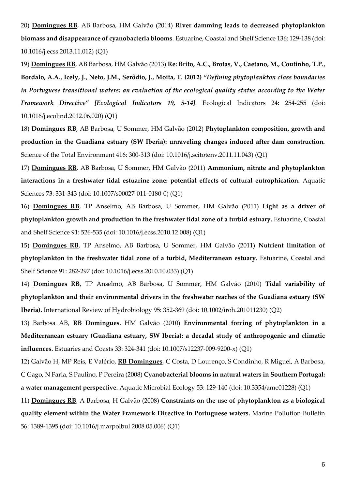20) **Domingues RB**, AB Barbosa, HM Galvão (2014) **River damming leads to decreased phytoplankton biomass and disappearance of cyanobacteria blooms**. Estuarine, Coastal and Shelf Science 136: 129-138 (doi: 10.1016/j.ecss.2013.11.012) (Q1)

19) **Domingues RB**, AB Barbosa, HM Galvão (2013) **Re: Brito, A.C., Brotas, V., Caetano, M., Coutinho, T.P., Bordalo, A.A., Icely, J., Neto, J.M., Serôdio, J., Moita, T. (2012)** *"Defining phytoplankton class boundaries in Portuguese transitional waters: an evaluation of the ecological quality status according to the Water Framework Directive" [Ecological Indicators 19, 5-14].* Ecological Indicators 24: 254-255 (doi: 10.1016/j.ecolind.2012.06.020) (Q1)

18) **Domingues RB**, AB Barbosa, U Sommer, HM Galvão (2012) **Phytoplankton composition, growth and production in the Guadiana estuary (SW Iberia): unraveling changes induced after dam construction.**  Science of the Total Environment 416: 300-313 (doi: 10.1016/j.scitotenv.2011.11.043) (Q1)

17) **Domingues RB**, AB Barbosa, U Sommer, HM Galvão (2011) **Ammonium, nitrate and phytoplankton interactions in a freshwater tidal estuarine zone: potential effects of cultural eutrophication.** Aquatic Sciences 73: 331-343 (doi: 10.1007/s00027-011-0180-0) (Q1)

16) **Domingues RB**, TP Anselmo, AB Barbosa, U Sommer, HM Galvão (2011) **Light as a driver of phytoplankton growth and production in the freshwater tidal zone of a turbid estuary.** Estuarine, Coastal and Shelf Science 91: 526-535 (doi: 10.1016/j.ecss.2010.12.008) (Q1)

15) **Domingues RB**, TP Anselmo, AB Barbosa, U Sommer, HM Galvão (2011) **Nutrient limitation of phytoplankton in the freshwater tidal zone of a turbid, Mediterranean estuary.** Estuarine, Coastal and Shelf Science 91: 282-297 (doi: 10.1016/j.ecss.2010.10.033) (Q1)

14) **Domingues RB**, TP Anselmo, AB Barbosa, U Sommer, HM Galvão (2010) **Tidal variability of phytoplankton and their environmental drivers in the freshwater reaches of the Guadiana estuary (SW Iberia).** International Review of Hydrobiology 95: 352-369 (doi: 10.1002/iroh.201011230) (Q2)

13) Barbosa AB, **RB Domingues**, HM Galvão (2010) **Environmental forcing of phytoplankton in a Mediterranean estuary (Guadiana estuary, SW Iberia): a decadal study of anthropogenic and climatic influences.** Estuaries and Coasts 33: 324-341 (doi: 10.1007/s12237-009-9200-x) (Q1)

12) Galvão H, MP Reis, E Valério, **RB Domingues**, C Costa, D Lourenço, S Condinho, R Miguel, A Barbosa, C Gago, N Faria, S Paulino, P Pereira (2008) **Cyanobacterial blooms in natural waters in Southern Portugal: a water management perspective.** Aquatic Microbial Ecology 53: 129-140 (doi: 10.3354/ame01228) (Q1)

11) **Domingues RB**, A Barbosa, H Galvão (2008) **Constraints on the use of phytoplankton as a biological quality element within the Water Framework Directive in Portuguese waters.** Marine Pollution Bulletin 56: 1389-1395 (doi: 10.1016/j.marpolbul.2008.05.006) (Q1)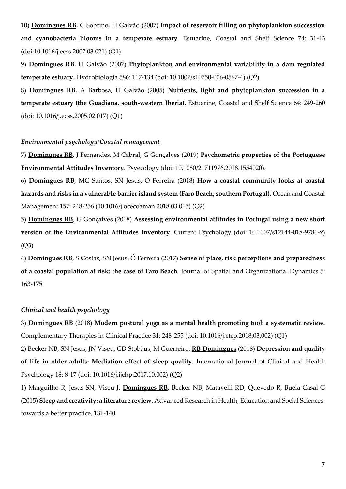10) **Domingues RB**, C Sobrino, H Galvão (2007) **Impact of reservoir filling on phytoplankton succession and cyanobacteria blooms in a temperate estuary**. Estuarine, Coastal and Shelf Science 74: 31-43 (doi:10.1016/j.ecss.2007.03.021) (Q1)

9) **Domingues RB**, H Galvão (2007) **Phytoplankton and environmental variability in a dam regulated temperate estuary**. Hydrobiologia 586: 117-134 (doi: 10.1007/s10750-006-0567-4) (Q2)

8) **Domingues RB**, A Barbosa, H Galvão (2005) **Nutrients, light and phytoplankton succession in a temperate estuary (the Guadiana, south-western Iberia)**. Estuarine, Coastal and Shelf Science 64: 249-260 (doi: 10.1016/j.ecss.2005.02.017) (Q1)

#### *Environmental psychology/Coastal management*

7) **Domingues RB**, J Fernandes, M Cabral, G Gonçalves (2019) **Psychometric properties of the Portuguese Environmental Attitudes Inventory**. Psyecology (doi: 10.1080/21711976.2018.1554020).

6) **Domingues RB**, MC Santos, SN Jesus, Ó Ferreira (2018) **How a coastal community looks at coastal hazards and risks in a vulnerable barrier island system (Faro Beach, southern Portugal).** Ocean and Coastal Management 157: 248-256 (10.1016/j.ocecoaman.2018.03.015) (Q2)

5) **Domingues RB**, G Gonçalves (2018) **Assessing environmental attitudes in Portugal using a new short version of the Environmental Attitudes Inventory**. Current Psychology (doi: 10.1007/s12144-018-9786-x) (Q3)

4) **Domingues RB**, S Costas, SN Jesus, Ó Ferreira (2017) **Sense of place, risk perceptions and preparedness of a coastal population at risk: the case of Faro Beach**. Journal of Spatial and Organizational Dynamics 5: 163-175.

## *Clinical and health psychology*

3) **Domingues RB** (2018) **Modern postural yoga as a mental health promoting tool: a systematic review.** Complementary Therapies in Clinical Practice 31: 248-255 (doi[: 10.1016/j.ctcp.2018.03.002\)](https://doi.org/10.1016/j.ctcp.2018.03.002) (Q1)

2) Becker NB, SN Jesus, JN Viseu, CD Stobäus, M Guerreiro, **RB Domingues** (2018) **Depression and quality of life in older adults: Mediation effect of sleep quality**. International Journal of Clinical and Health Psychology 18: 8-17 (doi: 10.1016/j.ijchp.2017.10.002) (Q2)

1) Marguilho R, Jesus SN, Viseu J, **Domingues RB**, Becker NB, Matavelli RD, Quevedo R, Buela-Casal G (2015) **Sleep and creativity: a literature review.** Advanced Research in Health, Education and Social Sciences: towards a better practice, 131-140.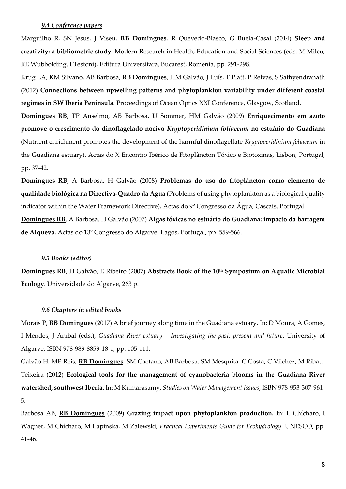#### *9.4 Conference papers*

Marguilho R, SN Jesus, J Viseu, **RB Domingues**, R Quevedo-Blasco, G Buela-Casal (2014) **Sleep and creativity: a bibliometric study**. Modern Research in Health, Education and Social Sciences (eds. M Milcu, RE Wubbolding, I Testoni), Editura Universitara, Bucarest, Romenia, pp. 291-298.

Krug LA, KM Silvano, AB Barbosa, **RB Domingues**, HM Galvão, J Luís, T Platt, P Relvas, S Sathyendranath (2012) **Connections between upwelling patterns and phytoplankton variability under different coastal regimes in SW Iberia Peninsula**. Proceedings of Ocean Optics XXI Conference, Glasgow, Scotland.

**Domingues RB**, TP Anselmo, AB Barbosa, U Sommer, HM Galvão (2009) **Enriquecimento em azoto promove o crescimento do dinoflagelado nocivo** *Kryptoperidinium foliaceum* **no estuário do Guadiana** (Nutrient enrichment promotes the development of the harmful dinoflagellate *Kryptoperidinium foliaceum* in the Guadiana estuary). Actas do X Encontro Ibérico de Fitoplâncton Tóxico e Biotoxinas, Lisbon, Portugal, pp. 37-42.

**Domingues RB**, A Barbosa, H Galvão (2008) **Problemas do uso do fitoplâncton como elemento de qualidade biológica na Directiva-Quadro da Água** (Problems of using phytoplankton as a biological quality indicator within the Water Framework Directive)**.** Actas do 9º Congresso da Água, Cascais, Portugal. **Domingues RB**, A Barbosa, H Galvão (2007) **Algas tóxicas no estuário do Guadiana: impacto da barragem de Alqueva.** Actas do 13º Congresso do Algarve, Lagos, Portugal, pp. 559-566.

#### *9.5 Books (editor)*

**Domingues RB**, H Galvão, E Ribeiro (2007) **Abstracts Book of the 10th Symposium on Aquatic Microbial Ecology**. Universidade do Algarve, 263 p.

#### *9.6 Chapters in edited books*

Morais P, **RB Domingues** (2017) A brief journey along time in the Guadiana estuary. In: D Moura, A Gomes, I Mendes, J Aníbal (eds.), *Guadiana River estuary – Investigating the past, present and future*. University of Algarve, ISBN 978-989-8859-18-1, pp. 105-111.

Galvão H, MP Reis, **RB Domingues**, SM Caetano, AB Barbosa, SM Mesquita, C Costa, C Vilchez, M Ribau-Teixeira (2012) **Ecological tools for the management of cyanobacteria blooms in the Guadiana River watershed, southwest Iberia**. In: M Kumarasamy, *Studies on Water Management Issues*, ISBN 978-953-307-961- 5.

Barbosa AB, **RB Domingues** (2009) **Grazing impact upon phytoplankton production.** In: L Chícharo, I Wagner, M Chícharo, M Lapinska, M Zalewski, *Practical Experiments Guide for Ecohydrology*. UNESCO, pp. 41-46.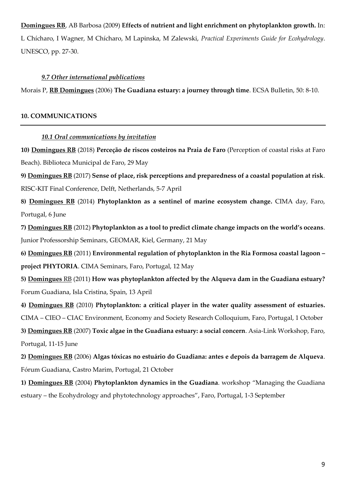## **Domingues RB**, AB Barbosa (2009) **Effects of nutrient and light enrichment on phytoplankton growth.** In:

L Chícharo, I Wagner, M Chícharo, M Lapinska, M Zalewski, *Practical Experiments Guide for Ecohydrology*. UNESCO, pp. 27-30.

## *9.7 Other international publications*

Morais P, **RB Domingues** (2006) **The Guadiana estuary: a journey through time**. ECSA Bulletin, 50: 8-10.

#### **10. COMMUNICATIONS**

## *10.1 Oral communications by invitation*

**10) Domingues RB** (2018) **Perceção de riscos costeiros na Praia de Faro** (Perception of coastal risks at Faro Beach). Biblioteca Municipal de Faro, 29 May

**9) Domingues RB** (2017) **Sense of place, risk perceptions and preparedness of a coastal population at risk**. RISC-KIT Final Conference, Delft, Netherlands, 5-7 April

**8) Domingues RB** (2014) **Phytoplankton as a sentinel of marine ecosystem change.** CIMA day, Faro, Portugal, 6 June

**7) Domingues RB** (2012) **Phytoplankton as a tool to predict climate change impacts on the world's oceans**. Junior Professorship Seminars, GEOMAR, Kiel, Germany, 21 May

**6) Domingues RB** (2011) **Environmental regulation of phytoplankton in the Ria Formosa coastal lagoon – project PHYTORIA**. CIMA Seminars, Faro, Portugal, 12 May

**5) Domingues** RB (2011) **How was phytoplankton affected by the Alqueva dam in the Guadiana estuary?** Forum Guadiana, Isla Cristina, Spain, 13 April

**4) Domingues RB** (2010) **Phytoplankton: a critical player in the water quality assessment of estuaries.** CIMA – CIEO – CIAC Environment, Economy and Society Research Colloquium, Faro, Portugal, 1 October **3) Domingues RB** (2007) **Toxic algae in the Guadiana estuary: a social concern**. Asia-Link Workshop, Faro, Portugal, 11-15 June

**2) Domingues RB** (2006) **Algas tóxicas no estuário do Guadiana: antes e depois da barragem de Alqueva**. Fórum Guadiana, Castro Marim, Portugal, 21 October

**1) Domingues RB** (2004) **Phytoplankton dynamics in the Guadiana**. workshop "Managing the Guadiana estuary – the Ecohydrology and phytotechnology approaches", Faro, Portugal, 1-3 September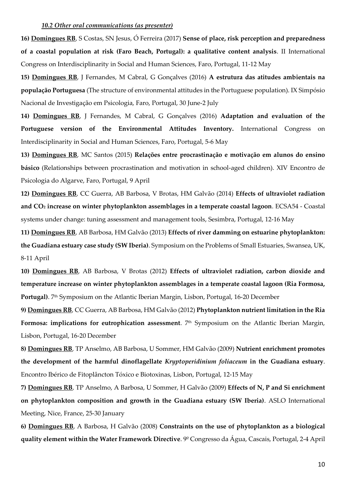#### *10.2 Other oral communications (as presenter)*

**16) Domingues RB**, S Costas, SN Jesus, Ó Ferreira (2017) **Sense of place, risk perception and preparedness of a coastal population at risk (Faro Beach, Portugal): a qualitative content analysis**. II International Congress on Interdisciplinarity in Social and Human Sciences, Faro, Portugal, 11-12 May

**15) Domingues RB**, J Fernandes, M Cabral, G Gonçalves (2016) **A estrutura das atitudes ambientais na população Portuguesa** (The structure of environmental attitudes in the Portuguese population). IX Simpósio Nacional de Investigação em Psicologia, Faro, Portugal, 30 June-2 July

**14) Domingues RB**, J Fernandes, M Cabral, G Gonçalves (2016) **Adaptation and evaluation of the Portuguese version of the Environmental Attitudes Inventory.** International Congress on Interdisciplinarity in Social and Human Sciences, Faro, Portugal, 5-6 May

**13) Domingues RB**, MC Santos (2015) **Relações entre procrastinação e motivação em alunos do ensino básico** (Relationships between procrastination and motivation in school-aged children). XIV Encontro de Psicologia do Algarve, Faro, Portugal, 9 April

**12) Domingues RB**, CC Guerra, AB Barbosa, V Brotas, HM Galvão (2014) **Effects of ultraviolet radiation and CO<sup>2</sup> increase on winter phytoplankton assemblages in a temperate coastal lagoon**. ECSA54 - Coastal systems under change: tuning assessment and management tools, Sesimbra, Portugal, 12-16 May

**11) Domingues RB**, AB Barbosa, HM Galvão (2013) **Effects of river damming on estuarine phytoplankton: the Guadiana estuary case study (SW Iberia)**. Symposium on the Problems of Small Estuaries, Swansea, UK, 8-11 April

**10) Domingues RB**, AB Barbosa, V Brotas (2012) **Effects of ultraviolet radiation, carbon dioxide and temperature increase on winter phytoplankton assemblages in a temperate coastal lagoon (Ria Formosa, Portugal)**. 7th Symposium on the Atlantic Iberian Margin, Lisbon, Portugal, 16-20 December

**9) Domingues RB**, CC Guerra, AB Barbosa, HM Galvão (2012) **Phytoplankton nutrient limitation in the Ria Formosa: implications for eutrophication assessment**. 7 th Symposium on the Atlantic Iberian Margin, Lisbon, Portugal, 16-20 December

**8) Domingues RB**, TP Anselmo, AB Barbosa, U Sommer, HM Galvão (2009) **Nutrient enrichment promotes the development of the harmful dinoflagellate** *Kryptoperidinium foliaceum* **in the Guadiana estuary**. Encontro Ibérico de Fitoplâncton Tóxico e Biotoxinas, Lisbon, Portugal, 12-15 May

**7) Domingues RB**, TP Anselmo, A Barbosa, U Sommer, H Galvão (2009) **Effects of N, P and Si enrichment on phytoplankton composition and growth in the Guadiana estuary (SW Iberia)**. ASLO International Meeting, Nice, France, 25-30 January

**6) Domingues RB**, A Barbosa, H Galvão (2008) **Constraints on the use of phytoplankton as a biological quality element within the Water Framework Directive**. 9º Congresso da Água, Cascais, Portugal, 2-4 April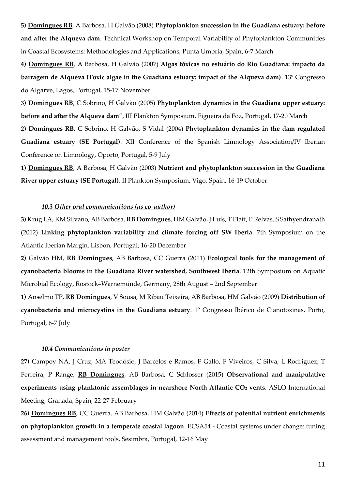**5) Domingues RB**, A Barbosa, H Galvão (2008) **Phytoplankton succession in the Guadiana estuary: before and after the Alqueva dam**. Technical Workshop on Temporal Variability of Phytoplankton Communities in Coastal Ecosystems: Methodologies and Applications, Punta Umbria, Spain, 6-7 March

**4) Domingues RB**, A Barbosa, H Galvão (2007) **Algas tóxicas no estuário do Rio Guadiana: impacto da barragem de Alqueva (Toxic algae in the Guadiana estuary: impact of the Alqueva dam)**. 13º Congresso do Algarve, Lagos, Portugal, 15-17 November

**3) Domingues RB**, C Sobrino, H Galvão (2005) **Phytoplankton dynamics in the Guadiana upper estuary: before and after the Alqueva dam**", III Plankton Symposium, Figueira da Foz, Portugal, 17-20 March

**2) Domingues RB**, C Sobrino, H Galvão, S Vidal (2004) **Phytoplankton dynamics in the dam regulated Guadiana estuary (SE Portugal)**. XII Conference of the Spanish Limnology Association/IV Iberian Conference on Limnology, Oporto, Portugal, 5-9 July

**1) Domingues RB**, A Barbosa, H Galvão (2003) **Nutrient and phytoplankton succession in the Guadiana River upper estuary (SE Portugal)**. II Plankton Symposium, Vigo, Spain, 16-19 October

## *10.3 Other oral communications (as co-author)*

**3)** Krug LA, KM Silvano, AB Barbosa, **RB Domingues**, HM Galvão, J Luís, T Platt, P Relvas, S Sathyendranath (2012) **Linking phytoplankton variability and climate forcing off SW Iberia**. 7th Symposium on the Atlantic Iberian Margin, Lisbon, Portugal, 16-20 December

**2)** Galvão HM, **RB Domingues**, AB Barbosa, CC Guerra (2011) **Ecological tools for the management of cyanobacteria blooms in the Guadiana River watershed, Southwest Iberia**. 12th Symposium on Aquatic Microbial Ecology, Rostock–Warnemünde, Germany, 28th August – 2nd September

**1)** Anselmo TP, **RB Domingues**, V Sousa, M Ribau Teixeira, AB Barbosa, HM Galvão (2009) **Distribution of cyanobacteria and microcystins in the Guadiana estuary**. 1º Congresso Ibérico de Cianotoxinas, Porto, Portugal, 6-7 July

#### *10.4 Communications in poster*

**27)** Campoy NA, J Cruz, MA Teodósio, J Barcelos e Ramos, F Gallo, F Viveiros, C Silva, L Rodriguez, T Ferreira, P Range, **RB Domingues**, AB Barbosa, C Schlosser (2015) **Observational and manipulative experiments using planktonic assemblages in nearshore North Atlantic CO<sup>2</sup> vents**. ASLO International Meeting, Granada, Spain, 22-27 February

**26) Domingues RB**, CC Guerra, AB Barbosa, HM Galvão (2014) **Effects of potential nutrient enrichments on phytoplankton growth in a temperate coastal lagoon**. ECSA54 - Coastal systems under change: tuning assessment and management tools, Sesimbra, Portugal, 12-16 May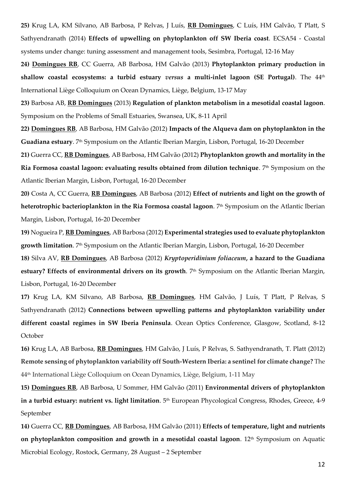**25)** Krug LA, KM Silvano, AB Barbosa, P Relvas, J Luís, **RB Domingues**, C Luís, HM Galvão, T Platt, S Sathyendranath (2014) **Effects of upwelling on phytoplankton off SW Iberia coast**. ECSA54 - Coastal systems under change: tuning assessment and management tools, Sesimbra, Portugal, 12-16 May

**24) Domingues RB**, CC Guerra, AB Barbosa, HM Galvão (2013) **Phytoplankton primary production in shallow coastal ecosystems: a turbid estuary** *versus* **a multi-inlet lagoon (SE Portugal)**. The 44th International Liège Colloquium on Ocean Dynamics, Liège, Belgium, 13-17 May

**23)** Barbosa AB, **RB Domingues** (2013) **Regulation of plankton metabolism in a mesotidal coastal lagoon**. Symposium on the Problems of Small Estuaries, Swansea, UK, 8-11 April

**22) Domingues RB**, AB Barbosa, HM Galvão (2012) **Impacts of the Alqueva dam on phytoplankton in the Guadiana estuary**. 7<sup>th</sup> Symposium on the Atlantic Iberian Margin, Lisbon, Portugal, 16-20 December

**21)** Guerra CC, **RB Domingues**, AB Barbosa, HM Galvão (2012) **Phytoplankton growth and mortality in the Ria Formosa coastal lagoon: evaluating results obtained from dilution technique**. 7th Symposium on the Atlantic Iberian Margin, Lisbon, Portugal, 16-20 December

**20)** Costa A, CC Guerra, **RB Domingues**, AB Barbosa (2012) **Effect of nutrients and light on the growth of heterotrophic bacterioplankton in the Ria Formosa coastal lagoon**. 7th Symposium on the Atlantic Iberian Margin, Lisbon, Portugal, 16-20 December

**19)** Nogueira P, **RB Domingues**, AB Barbosa (2012) **Experimental strategies used to evaluate phytoplankton growth limitation**. 7th Symposium on the Atlantic Iberian Margin, Lisbon, Portugal, 16-20 December

**18)** Silva AV, **RB Domingues**, AB Barbosa (2012) *Kryptoperidinium foliaceum***, a hazard to the Guadiana estuary? Effects of environmental drivers on its growth**. 7 th Symposium on the Atlantic Iberian Margin, Lisbon, Portugal, 16-20 December

**17)** Krug LA, KM Silvano, AB Barbosa, **RB Domingues**, HM Galvão, J Luís, T Platt, P Relvas, S Sathyendranath (2012) **Connections between upwelling patterns and phytoplankton variability under different coastal regimes in SW Iberia Peninsula**. Ocean Optics Conference, Glasgow, Scotland, 8-12 October

**16)** Krug LA, AB Barbosa, **RB Domingues**, HM Galvão, J Luís, P Relvas, S. Sathyendranath, T. Platt (2012) **Remote sensing of phytoplankton variability off South-Western Iberia: a sentinel for climate change?** The 44th International Liège Colloquium on Ocean Dynamics, Liège, Belgium, 1-11 May

**15) Domingues RB**, AB Barbosa, U Sommer, HM Galvão (2011) **Environmental drivers of phytoplankton in a turbid estuary: nutrient vs. light limitation**. 5<sup>th</sup> European Phycological Congress*,* Rhodes, Greece, 4-9 September

**14)** Guerra CC, **RB Domingues**, AB Barbosa, HM Galvão (2011) **Effects of temperature, light and nutrients on phytoplankton composition and growth in a mesotidal coastal lagoon**. 12<sup>th</sup> Symposium on Aquatic Microbial Ecology, Rostock, Germany, 28 August – 2 September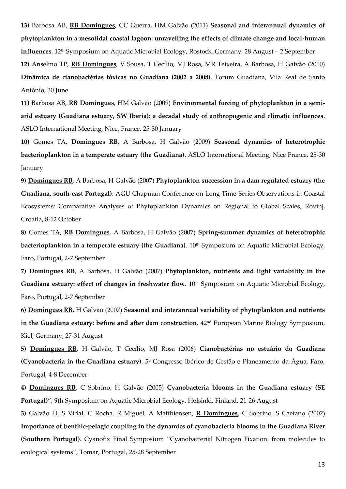**13)** Barbosa AB, **RB Domingues**, CC Guerra, HM Galvão (2011) **Seasonal and interannual dynamics of phytoplankton in a mesotidal coastal lagoon: unravelling the effects of climate change and local-human influences**. 12<sup>th</sup> Symposium on Aquatic Microbial Ecology, Rostock, Germany, 28 August – 2 September **12)** Anselmo TP, **RB Domingues**, V Sousa, T Cecílio, MJ Rosa, MR Teixeira, A Barbosa, H Galvão (2010) **Dinâmica de cianobactérias tóxicas no Guadiana (2002 a 2008)**. Forum Guadiana, Vila Real de Santo António, 30 June

**11)** Barbosa AB, **RB Domingues**, HM Galvão (2009) **Environmental forcing of phytoplankton in a semiarid estuary (Guadiana estuary, SW Iberia): a decadal study of anthropogenic and climatic influences**. ASLO International Meeting, Nice, France, 25-30 January

**10)** Gomes TA, **Domingues RB**, A Barbosa, H Galvão (2009) **Seasonal dynamics of heterotrophic bacterioplankton in a temperate estuary (the Guadiana)**. ASLO International Meeting, Nice France, 25-30 January

**9) Domingues RB**, A Barbosa, H Galvão (2007) **Phytoplankton succession in a dam regulated estuary (the Guadiana, south-east Portugal)**. AGU Chapman Conference on Long Time-Series Observations in Coastal Ecosystems: Comparative Analyses of Phytoplankton Dynamics on Regional to Global Scales, Rovinj, Croatia, 8-12 October

**8)** Gomes TA, **RB Domingues**, A Barbosa, H Galvão (2007) **Spring-summer dynamics of heterotrophic bacterioplankton in a temperate estuary (the Guadiana)**. 10<sup>th</sup> Symposium on Aquatic Microbial Ecology, Faro, Portugal, 2-7 September

**7) Domingues RB**, A Barbosa, H Galvão (2007) **Phytoplankton, nutrients and light variability in the**  Guadiana estuary: effect of changes in freshwater flow.  $10<sup>th</sup>$  Symposium on Aquatic Microbial Ecology, Faro, Portugal, 2-7 September

**6) Domingues RB**, H Galvão (2007) **Seasonal and interannual variability of phytoplankton and nutrients in the Guadiana estuary: before and after dam construction**. 42nd European Marine Biology Symposium, Kiel, Germany, 27-31 August

**5) Domingues RB**, H Galvão, T Cecílio, MJ Rosa (2006) **Cianobactérias no estuário do Guadiana (Cyanobacteria in the Guadiana estuary)**. 5º Congresso Ibérico de Gestão e Planeamento da Água, Faro, Portugal, 4-8 December

**4) Domingues RB**, C Sobrino, H Galvão (2005) **Cyanobacteria blooms in the Guadiana estuary (SE Portugal)**", 9th Symposium on Aquatic Microbial Ecology, Helsinki, Finland, 21-26 August

**3)** Galvão H, S Vidal, C Rocha, R Miguel, A Matthiensen, **R Domingues**, C Sobrino, S Caetano (2002) **Importance of benthic-pelagic coupling in the dynamics of cyanobacteria blooms in the Guadiana River (Southern Portugal)**. Cyanofix Final Symposium "Cyanobacterial Nitrogen Fixation: from molecules to ecological systems", Tomar, Portugal, 25-28 September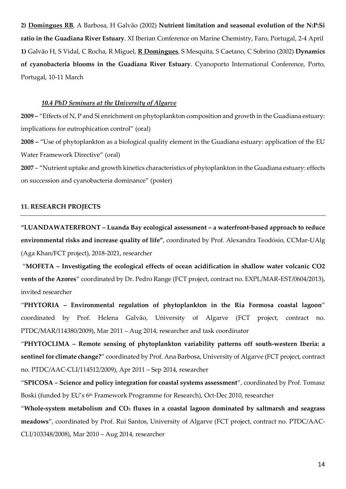**2) Domingues RB**, A Barbosa, H Galvão (2002) **Nutrient limitation and seasonal evolution of the N:P:Si ratio in the Guadiana River Estuary**. XI Iberian Conference on Marine Chemistry, Faro, Portugal, 2-4 April **1)** Galvão H, S Vidal, C Rocha, R Miguel, **R Domingues**, S Mesquita, S Caetano, C Sobrino (2002) **Dynamics of cyanobacteria blooms in the Guadiana River Estuary**. Cyanoporto International Conference, Porto, Portugal, 10-11 March

#### *10.4 PhD Seminars at the University of Algarve*

**2009 –** "Effects of N, P and Si enrichment on phytoplankton composition and growth in the Guadiana estuary: implications for eutrophication control" (oral)

**2008 –** "Use of phytoplankton as a biological quality element in the Guadiana estuary: application of the EU Water Framework Directive" (oral)

**2007** – "Nutrient uptake and growth kinetics characteristics of phytoplankton in the Guadiana estuary: effects on succession and cyanobacteria dominance" (poster)

## **11. RESEARCH PROJECTS**

**"LUANDAWATERFRONT – Luanda Bay ecological assessment – a waterfront-based approach to reduce environmental risks and increase quality of life"**, coordinated by Prof. Alexandra Teodósio, CCMar-UAlg (Aga Khan/FCT project), 2018-2021, researcher

"**MOFETA – Investigating the ecological effects of ocean acidification in shallow water volcanic CO2 vents of the Azores**" coordinated by Dr. Pedro Range (FCT project, contract no. EXPL/MAR-EST/0604/2013), invited researcher

"**PHYTORIA – Environmental regulation of phytoplankton in the Ria Formosa coastal lagoon**" coordinated by Prof. Helena Galvão, University of Algarve (FCT project, contract no. PTDC/MAR/114380/2009), Mar 2011 – Aug 2014, researcher and task coordinator

"**PHYTOCLIMA – Remote sensing of phytoplankton variability patterns off south-western Iberia: a sentinel for climate change?**" coordinated by Prof. Ana Barbosa, University of Algarve (FCT project, contract no. PTDC/AAC-CLI/114512/2009), Apr 2011 – Sep 2014, researcher

"**SPICOSA – Science and policy integration for coastal systems assessment**", coordinated by Prof. Tomasz Boski (funded by EU's 6<sup>th</sup> Framework Programme for Research), Oct-Dec 2010, researcher

"**Whole-system metabolism and CO<sup>2</sup> fluxes in a coastal lagoon dominated by saltmarsh and seagrass meadows**", coordinated by Prof. Rui Santos, University of Algarve (FCT project, contract no. PTDC/AAC-CLI/103348/2008), Mar 2010 – Aug 2014, researcher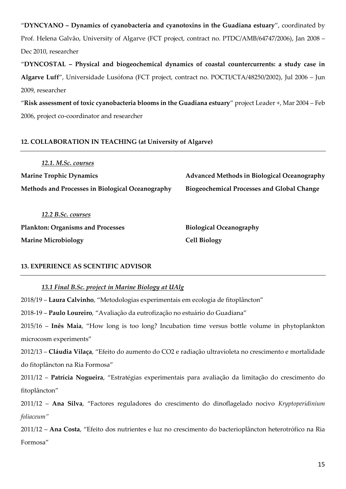"**DYNCYANO – Dynamics of cyanobacteria and cyanotoxins in the Guadiana estuary**", coordinated by Prof. Helena Galvão, University of Algarve (FCT project, contract no. PTDC/AMB/64747/2006), Jan 2008 – Dec 2010, researcher

"**DYNCOSTAL – Physical and biogeochemical dynamics of coastal countercurrents: a study case in Algarve Luff**", Universidade Lusófona (FCT project, contract no. POCTI/CTA/48250/2002), Jul 2006 – Jun 2009, researcher

"**Risk assessment of toxic cyanobacteria blooms in the Guadiana estuary**" project Leader +, Mar 2004 – Feb 2006, project co-coordinator and researcher

## **12. COLLABORATION IN TEACHING (at University of Algarve)**

*12.1. M.Sc. courses* **Marine Trophic Dynamics Advanced Methods in Biological Oceanography Methods and Processes in Biological Oceanography Biogeochemical Processes and Global Change**

*12.2 B.Sc. courses* **Plankton: Organisms and Processes Biological Oceanography Marine Microbiology Cell Biology**

## **13. EXPERIENCE AS SCENTIFIC ADVISOR**

## *13.1 Final B.Sc. project in Marine Biology at UAlg*

2018/19 – **Laura Calvinho**, "Metodologias experimentais em ecologia de fitoplâncton"

2018-19 – **Paulo Loureiro**, "Avaliação da eutrofização no estuário do Guadiana"

2015/16 – **Inês Maia**, "How long is too long? Incubation time versus bottle volume in phytoplankton microcosm experiments"

2012/13 – **Cláudia Vilaça**, "Efeito do aumento do CO2 e radiação ultravioleta no crescimento e mortalidade do fitoplâncton na Ria Formosa"

2011/12 – **Patrícia Nogueira**, "Estratégias experimentais para avaliação da limitação do crescimento do fitoplâncton"

2011/12 – **Ana Silva**, "Factores reguladores do crescimento do dinoflagelado nocivo *Kryptoperidinium foliaceum"*

2011/12 – **Ana Costa**, "Efeito dos nutrientes e luz no crescimento do bacterioplâncton heterotrófico na Ria Formosa"